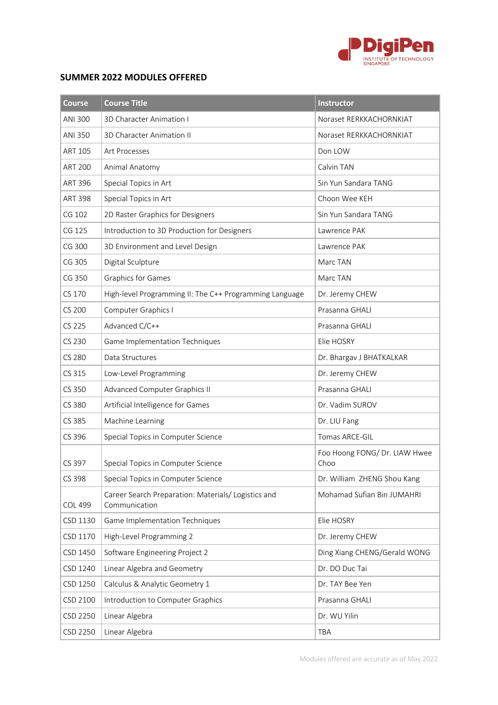

## **SUMMER 2022 MODULES OFFERED**

| <b>Course</b>  | <b>Course Title</b>                                                  | <b>Instructor</b>                     |
|----------------|----------------------------------------------------------------------|---------------------------------------|
| ANI 300        | 3D Character Animation I                                             | Noraset RERKKACHORNKIAT               |
| ANI 350        | <b>3D Character Animation II</b>                                     | Noraset RERKKACHORNKIAT               |
| ART 105        | <b>Art Processes</b>                                                 | Don LOW                               |
| <b>ART 200</b> | Animal Anatomy                                                       | Calvin TAN                            |
| <b>ART 396</b> | Special Topics in Art                                                | Sin Yun Sandara TANG                  |
| <b>ART 398</b> | Special Topics in Art                                                | Choon Wee KEH                         |
| CG 102         | 2D Raster Graphics for Designers                                     | Sin Yun Sandara TANG                  |
| CG 125         | Introduction to 3D Production for Designers                          | Lawrence PAK                          |
| CG 300         | 3D Environment and Level Design                                      | Lawrence PAK                          |
| CG 305         | Digital Sculpture                                                    | Marc TAN                              |
| CG 350         | <b>Graphics for Games</b>                                            | Marc TAN                              |
| CS 170         | High-level Programming II: The C++ Programming Language              | Dr. Jeremy CHEW                       |
| CS 200         | Computer Graphics I                                                  | Prasanna GHALI                        |
| CS 225         | Advanced C/C++                                                       | Prasanna GHALI                        |
| CS 230         | Game Implementation Techniques                                       | Elie HOSRY                            |
| <b>CS 280</b>  | Data Structures                                                      | Dr. Bhargav J BHATKALKAR              |
| CS 315         | Low-Level Programming                                                | Dr. Jeremy CHEW                       |
| CS 350         | <b>Advanced Computer Graphics II</b>                                 | Prasanna GHALI                        |
| CS 380         | Artificial Intelligence for Games                                    | Dr. Vadim SUROV                       |
| CS 385         | Machine Learning                                                     | Dr. LIU Fang                          |
| CS 396         | Special Topics in Computer Science                                   | Tomas ARCE-GIL                        |
| CS 397         | Special Topics in Computer Science                                   | Foo Hoong FONG/ Dr. LIAW Hwee<br>Choo |
| CS 398         | Special Topics in Computer Science                                   | Dr. William ZHENG Shou Kang           |
| <b>COL 499</b> | Career Search Preparation: Materials/ Logistics and<br>Communication | Mohamad Sufian Bin JUMAHRI            |
| CSD 1130       | Game Implementation Techniques                                       | Elie HOSRY                            |
| CSD 1170       | High-Level Programming 2                                             | Dr. Jeremy CHEW                       |
| CSD 1450       | Software Engineering Project 2                                       | Ding Xiang CHENG/Gerald WONG          |
| CSD 1240       | Linear Algebra and Geometry                                          | Dr. DO Duc Tai                        |
| CSD 1250       | Calculus & Analytic Geometry 1                                       | Dr. TAY Bee Yen                       |
| CSD 2100       | Introduction to Computer Graphics                                    | Prasanna GHALI                        |
| CSD 2250       | Linear Algebra                                                       | Dr. WU Yilin                          |
| CSD 2250       | Linear Algebra                                                       | TBA                                   |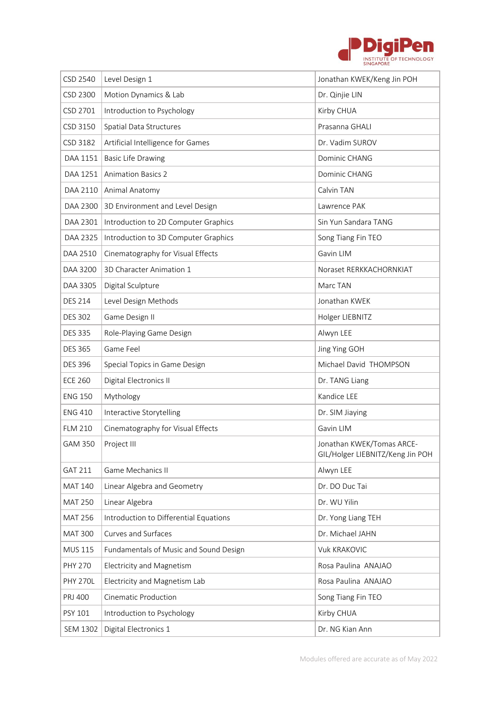

| CSD 2540        | Level Design 1                         | Jonathan KWEK/Keng Jin POH                                    |
|-----------------|----------------------------------------|---------------------------------------------------------------|
| CSD 2300        | Motion Dynamics & Lab                  | Dr. Qinjie LIN                                                |
| CSD 2701        | Introduction to Psychology             | Kirby CHUA                                                    |
| CSD 3150        | Spatial Data Structures                | Prasanna GHALI                                                |
| CSD 3182        | Artificial Intelligence for Games      | Dr. Vadim SUROV                                               |
| DAA 1151        | <b>Basic Life Drawing</b>              | Dominic CHANG                                                 |
| DAA 1251        | <b>Animation Basics 2</b>              | Dominic CHANG                                                 |
| DAA 2110        | Animal Anatomy                         | Calvin TAN                                                    |
| DAA 2300        | 3D Environment and Level Design        | Lawrence PAK                                                  |
| DAA 2301        | Introduction to 2D Computer Graphics   | Sin Yun Sandara TANG                                          |
| DAA 2325        | Introduction to 3D Computer Graphics   | Song Tiang Fin TEO                                            |
| DAA 2510        | Cinematography for Visual Effects      | Gavin LIM                                                     |
| DAA 3200        | 3D Character Animation 1               | Noraset RERKKACHORNKIAT                                       |
| DAA 3305        | Digital Sculpture                      | Marc TAN                                                      |
| <b>DES 214</b>  | Level Design Methods                   | Jonathan KWEK                                                 |
| <b>DES 302</b>  | Game Design II                         | Holger LIEBNITZ                                               |
| <b>DES 335</b>  | Role-Playing Game Design               | Alwyn LEE                                                     |
| <b>DES 365</b>  | Game Feel                              | Jing Ying GOH                                                 |
| <b>DES 396</b>  | Special Topics in Game Design          | Michael David THOMPSON                                        |
| <b>ECE 260</b>  | Digital Electronics II                 | Dr. TANG Liang                                                |
| <b>ENG 150</b>  | Mythology                              | Kandice LEE                                                   |
| <b>ENG 410</b>  | Interactive Storytelling               | Dr. SIM Jiaying                                               |
| <b>FLM 210</b>  | Cinematography for Visual Effects      | Gavin LIM                                                     |
| GAM 350         | Project III                            | Jonathan KWEK/Tomas ARCE-<br>GIL/Holger LIEBNITZ/Keng Jin POH |
| <b>GAT 211</b>  | Game Mechanics II                      | Alwyn LEE                                                     |
| <b>MAT 140</b>  | Linear Algebra and Geometry            | Dr. DO Duc Tai                                                |
| <b>MAT 250</b>  | Linear Algebra                         | Dr. WU Yilin                                                  |
| <b>MAT 256</b>  | Introduction to Differential Equations | Dr. Yong Liang TEH                                            |
| <b>MAT 300</b>  | Curves and Surfaces                    | Dr. Michael JAHN                                              |
| <b>MUS 115</b>  | Fundamentals of Music and Sound Design | <b>Vuk KRAKOVIC</b>                                           |
| <b>PHY 270</b>  | Electricity and Magnetism              | Rosa Paulina ANAJAO                                           |
| <b>PHY 270L</b> | Electricity and Magnetism Lab          | Rosa Paulina ANAJAO                                           |
| PRJ 400         | <b>Cinematic Production</b>            | Song Tiang Fin TEO                                            |
| PSY 101         | Introduction to Psychology             | Kirby CHUA                                                    |
| <b>SEM 1302</b> | Digital Electronics 1                  | Dr. NG Kian Ann                                               |